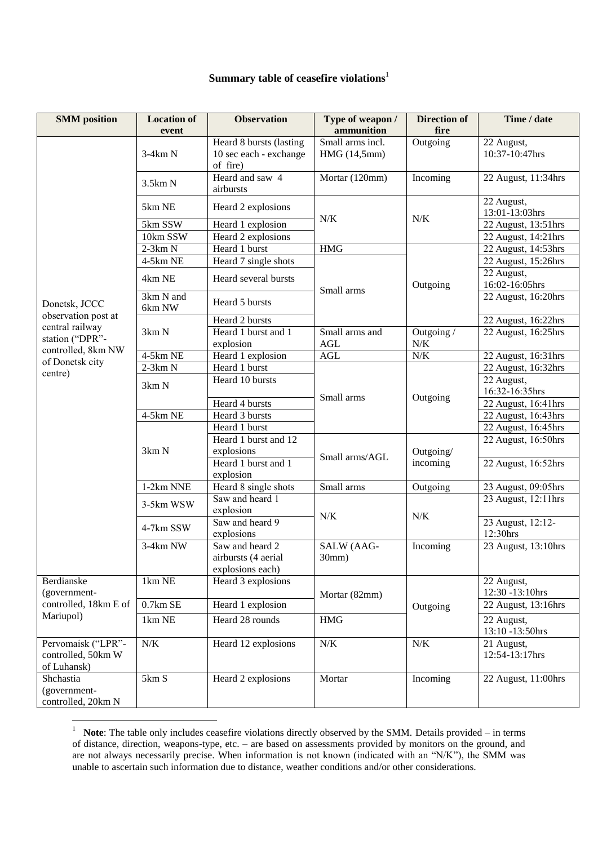## **Summary table of ceasefire violations**<sup>1</sup>

| <b>SMM</b> position                                      | <b>Location of</b><br>event | <b>Observation</b>                                            | Type of weapon /<br>ammunition   | <b>Direction of</b><br>fire | Time / date                   |
|----------------------------------------------------------|-----------------------------|---------------------------------------------------------------|----------------------------------|-----------------------------|-------------------------------|
|                                                          | $3-4km N$                   | Heard 8 bursts (lasting<br>10 sec each - exchange<br>of fire) | Small arms incl.<br>HMG (14,5mm) | Outgoing                    | 22 August,<br>10:37-10:47hrs  |
|                                                          | 3.5km N                     | Heard and saw 4<br>airbursts                                  | Mortar (120mm)                   | Incoming                    | 22 August, 11:34hrs           |
|                                                          | 5km NE                      | Heard 2 explosions                                            | N/K                              | N/K                         | 22 August,<br>13:01-13:03hrs  |
|                                                          | 5km SSW                     | Heard 1 explosion                                             |                                  |                             | 22 August, 13:51hrs           |
|                                                          | 10km SSW                    | Heard 2 explosions                                            |                                  |                             | 22 August, 14:21hrs           |
|                                                          | $2-3km N$                   | Heard 1 burst                                                 | <b>HMG</b>                       |                             | 22 August, 14:53hrs           |
|                                                          | 4-5km NE                    | Heard 7 single shots                                          | Small arms                       | Outgoing                    | 22 August, 15:26hrs           |
| Donetsk, JCCC                                            | 4km NE                      | Heard several bursts                                          |                                  |                             | 22 August,<br>16:02-16:05hrs  |
|                                                          | 3km N and<br>6km NW         | Heard 5 bursts                                                |                                  |                             | 22 August, 16:20hrs           |
| observation post at                                      |                             | Heard 2 bursts                                                |                                  |                             | 22 August, 16:22hrs           |
| central railway<br>station ("DPR"-<br>controlled, 8km NW | 3km N                       | Heard 1 burst and 1<br>explosion                              | Small arms and<br>AGL            | Outgoing /<br>N/K           | 22 August, 16:25hrs           |
|                                                          | $4-5km$ NE                  | Heard 1 explosion                                             | AGL                              | N/K                         | 22 August, 16:31hrs           |
| of Donetsk city                                          | $2-3km N$                   | Heard 1 burst                                                 |                                  |                             | 22 August, 16:32hrs           |
| centre)                                                  | 3km N                       | Heard 10 bursts                                               | Small arms                       | Outgoing                    | 22 August,<br>16:32-16:35hrs  |
|                                                          |                             | Heard 4 bursts                                                |                                  |                             | 22 August, 16:41hrs           |
|                                                          | $4-5km$ NE                  | Heard 3 bursts                                                |                                  |                             | 22 August, 16:43hrs           |
|                                                          |                             | Heard 1 burst                                                 |                                  |                             | 22 August, 16:45hrs           |
|                                                          | 3km N                       | Heard 1 burst and 12                                          | Small arms/AGL                   | Outgoing/<br>incoming       | 22 August, 16:50hrs           |
|                                                          |                             | explosions                                                    |                                  |                             |                               |
|                                                          |                             | Heard 1 burst and 1<br>explosion                              |                                  |                             | 22 August, 16:52hrs           |
|                                                          | 1-2km NNE                   | Heard 8 single shots                                          | Small arms                       | Outgoing                    | 23 August, 09:05hrs           |
|                                                          | 3-5km WSW                   | Saw and heard 1<br>explosion                                  | $N/K$                            | N/K                         | 23 August, 12:11hrs           |
|                                                          | 4-7km SSW                   | Saw and heard 9<br>explosions                                 |                                  |                             | 23 August, 12:12-<br>12:30hrs |
|                                                          | 3-4km NW                    | Saw and heard 2<br>airbursts (4 aerial<br>explosions each)    | SALW (AAG-<br>30mm)              | Incoming                    | 23 August, 13:10hrs           |
| Berdianske                                               | 1km NE                      | Heard 3 explosions                                            | Mortar (82mm)                    | Outgoing                    | 22 August,                    |
| (government-                                             |                             |                                                               |                                  |                             | 12:30 -13:10hrs               |
| controlled, 18km E of                                    | $0.7km$ SE                  | Heard 1 explosion                                             |                                  |                             | 22 August, 13:16hrs           |
| Mariupol)                                                | 1km NE                      | Heard 28 rounds                                               | $\rm HMG$                        |                             | 22 August,                    |
|                                                          |                             |                                                               |                                  |                             | 13:10 -13:50hrs               |
| Pervomaisk ("LPR"-<br>controlled, 50km W<br>of Luhansk)  | $N/K$                       | Heard 12 explosions                                           | $N\!/\!K$                        | N/K                         | 21 August,<br>12:54-13:17hrs  |
| Shchastia                                                | 5km S                       | Heard 2 explosions                                            | Mortar                           | Incoming                    | 22 August, 11:00hrs           |
| (government-                                             |                             |                                                               |                                  |                             |                               |
| controlled, 20km N                                       |                             |                                                               |                                  |                             |                               |

<sup>&</sup>lt;sup>1</sup> **Note**: The table only includes ceasefire violations directly observed by the SMM. Details provided – in terms of distance, direction, weapons-type, etc. – are based on assessments provided by monitors on the ground, and are not always necessarily precise. When information is not known (indicated with an "N/K"), the SMM was unable to ascertain such information due to distance, weather conditions and/or other considerations.